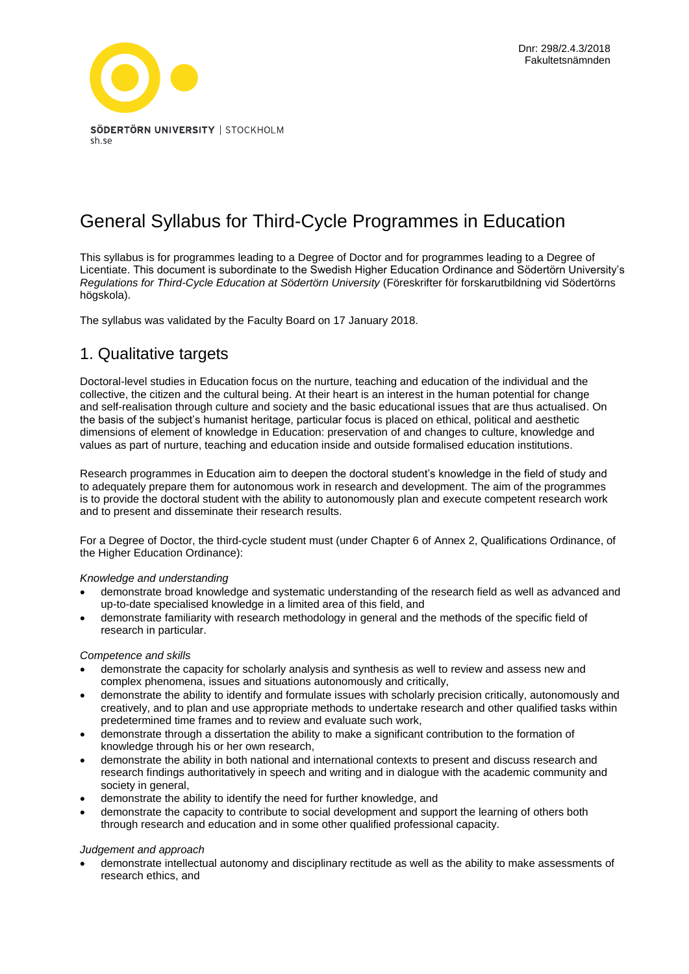

# General Syllabus for Third-Cycle Programmes in Education

This syllabus is for programmes leading to a Degree of Doctor and for programmes leading to a Degree of Licentiate. This document is subordinate to the Swedish Higher Education Ordinance and Södertörn University's *Regulations for Third-Cycle Education at Södertörn University* (Föreskrifter för forskarutbildning vid Södertörns högskola).

The syllabus was validated by the Faculty Board on 17 January 2018.

## 1. Qualitative targets

Doctoral-level studies in Education focus on the nurture, teaching and education of the individual and the collective, the citizen and the cultural being. At their heart is an interest in the human potential for change and self-realisation through culture and society and the basic educational issues that are thus actualised. On the basis of the subject's humanist heritage, particular focus is placed on ethical, political and aesthetic dimensions of element of knowledge in Education: preservation of and changes to culture, knowledge and values as part of nurture, teaching and education inside and outside formalised education institutions.

Research programmes in Education aim to deepen the doctoral student's knowledge in the field of study and to adequately prepare them for autonomous work in research and development. The aim of the programmes is to provide the doctoral student with the ability to autonomously plan and execute competent research work and to present and disseminate their research results.

For a Degree of Doctor, the third-cycle student must (under Chapter 6 of Annex 2, Qualifications Ordinance, of the Higher Education Ordinance):

#### *Knowledge and understanding*

- demonstrate broad knowledge and systematic understanding of the research field as well as advanced and up-to-date specialised knowledge in a limited area of this field, and
- demonstrate familiarity with research methodology in general and the methods of the specific field of research in particular.

#### *Competence and skills*

- demonstrate the capacity for scholarly analysis and synthesis as well to review and assess new and complex phenomena, issues and situations autonomously and critically,
- demonstrate the ability to identify and formulate issues with scholarly precision critically, autonomously and creatively, and to plan and use appropriate methods to undertake research and other qualified tasks within predetermined time frames and to review and evaluate such work,
- demonstrate through a dissertation the ability to make a significant contribution to the formation of knowledge through his or her own research,
- demonstrate the ability in both national and international contexts to present and discuss research and research findings authoritatively in speech and writing and in dialogue with the academic community and society in general,
- demonstrate the ability to identify the need for further knowledge, and
- demonstrate the capacity to contribute to social development and support the learning of others both through research and education and in some other qualified professional capacity.

#### *Judgement and approach*

• demonstrate intellectual autonomy and disciplinary rectitude as well as the ability to make assessments of research ethics, and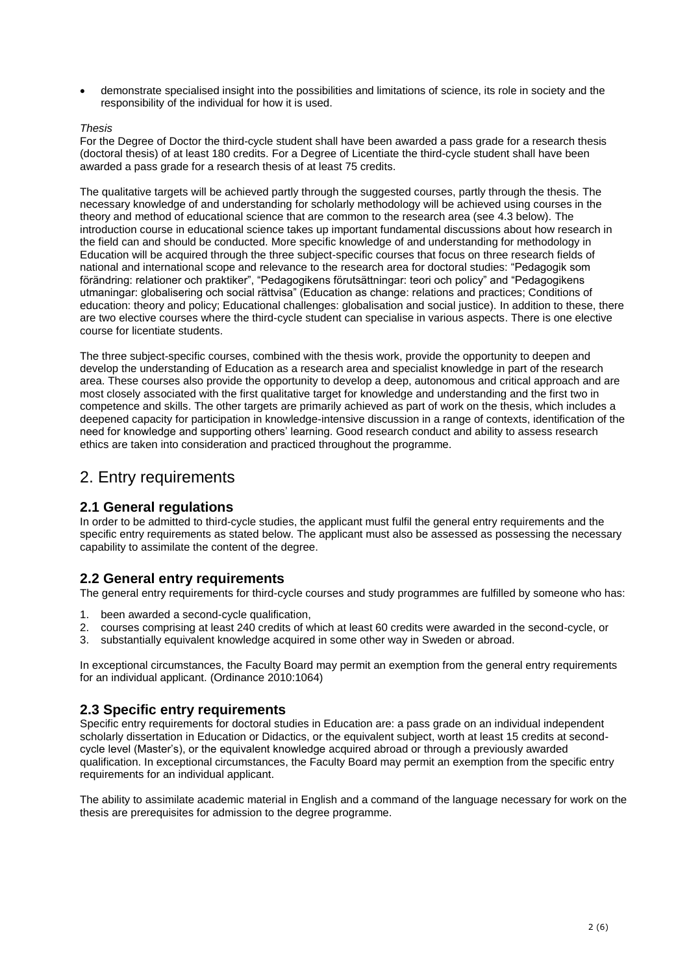• demonstrate specialised insight into the possibilities and limitations of science, its role in society and the responsibility of the individual for how it is used.

#### *Thesis*

For the Degree of Doctor the third-cycle student shall have been awarded a pass grade for a research thesis (doctoral thesis) of at least 180 credits. For a Degree of Licentiate the third-cycle student shall have been awarded a pass grade for a research thesis of at least 75 credits.

The qualitative targets will be achieved partly through the suggested courses, partly through the thesis. The necessary knowledge of and understanding for scholarly methodology will be achieved using courses in the theory and method of educational science that are common to the research area (see 4.3 below). The introduction course in educational science takes up important fundamental discussions about how research in the field can and should be conducted. More specific knowledge of and understanding for methodology in Education will be acquired through the three subject-specific courses that focus on three research fields of national and international scope and relevance to the research area for doctoral studies: "Pedagogik som förändring: relationer och praktiker", "Pedagogikens förutsättningar: teori och policy" and "Pedagogikens utmaningar: globalisering och social rättvisa" (Education as change: relations and practices; Conditions of education: theory and policy; Educational challenges: globalisation and social justice). In addition to these, there are two elective courses where the third-cycle student can specialise in various aspects. There is one elective course for licentiate students.

The three subject-specific courses, combined with the thesis work, provide the opportunity to deepen and develop the understanding of Education as a research area and specialist knowledge in part of the research area. These courses also provide the opportunity to develop a deep, autonomous and critical approach and are most closely associated with the first qualitative target for knowledge and understanding and the first two in competence and skills. The other targets are primarily achieved as part of work on the thesis, which includes a deepened capacity for participation in knowledge-intensive discussion in a range of contexts, identification of the need for knowledge and supporting others' learning. Good research conduct and ability to assess research ethics are taken into consideration and practiced throughout the programme.

### 2. Entry requirements

#### **2.1 General regulations**

In order to be admitted to third-cycle studies, the applicant must fulfil the general entry requirements and the specific entry requirements as stated below. The applicant must also be assessed as possessing the necessary capability to assimilate the content of the degree.

#### **2.2 General entry requirements**

The general entry requirements for third-cycle courses and study programmes are fulfilled by someone who has:

- 1. been awarded a second-cycle qualification,
- 2. courses comprising at least 240 credits of which at least 60 credits were awarded in the second-cycle, or
- 3. substantially equivalent knowledge acquired in some other way in Sweden or abroad.

In exceptional circumstances, the Faculty Board may permit an exemption from the general entry requirements for an individual applicant. (Ordinance 2010:1064)

#### **2.3 Specific entry requirements**

Specific entry requirements for doctoral studies in Education are: a pass grade on an individual independent scholarly dissertation in Education or Didactics, or the equivalent subject, worth at least 15 credits at secondcycle level (Master's), or the equivalent knowledge acquired abroad or through a previously awarded qualification. In exceptional circumstances, the Faculty Board may permit an exemption from the specific entry requirements for an individual applicant.

The ability to assimilate academic material in English and a command of the language necessary for work on the thesis are prerequisites for admission to the degree programme.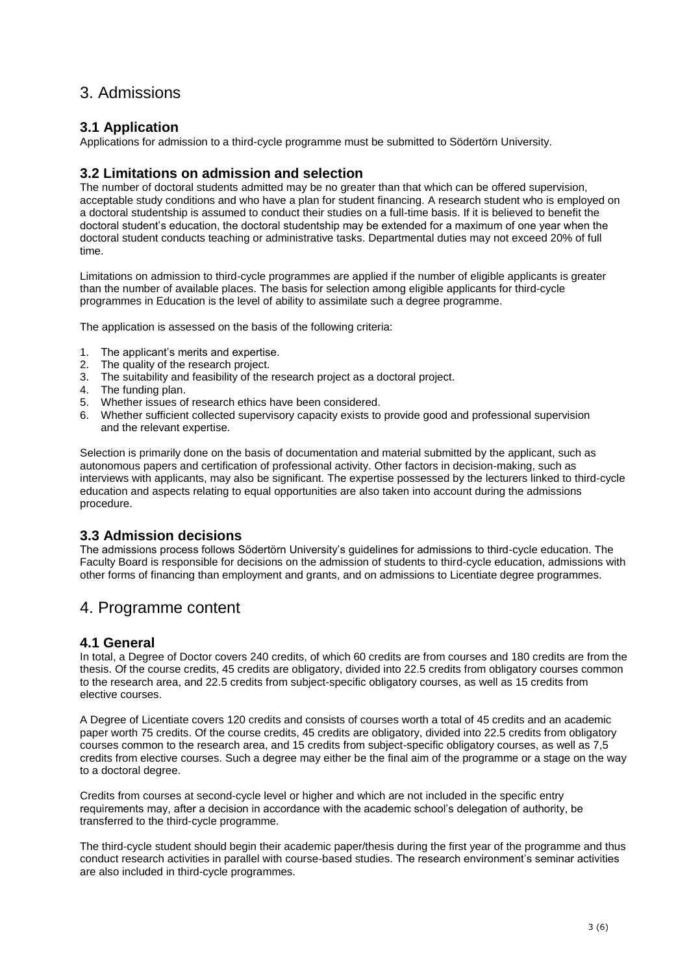## 3. Admissions

### **3.1 Application**

Applications for admission to a third-cycle programme must be submitted to Södertörn University.

### **3.2 Limitations on admission and selection**

The number of doctoral students admitted may be no greater than that which can be offered supervision, acceptable study conditions and who have a plan for student financing. A research student who is employed on a doctoral studentship is assumed to conduct their studies on a full-time basis. If it is believed to benefit the doctoral student's education, the doctoral studentship may be extended for a maximum of one year when the doctoral student conducts teaching or administrative tasks. Departmental duties may not exceed 20% of full time.

Limitations on admission to third-cycle programmes are applied if the number of eligible applicants is greater than the number of available places. The basis for selection among eligible applicants for third-cycle programmes in Education is the level of ability to assimilate such a degree programme.

The application is assessed on the basis of the following criteria:

- 1. The applicant's merits and expertise.
- 
- 2. The quality of the research project.<br>3. The suitability and feasibility of the The suitability and feasibility of the research project as a doctoral project.
- 4. The funding plan.
- 5. Whether issues of research ethics have been considered.
- 6. Whether sufficient collected supervisory capacity exists to provide good and professional supervision and the relevant expertise.

Selection is primarily done on the basis of documentation and material submitted by the applicant, such as autonomous papers and certification of professional activity. Other factors in decision-making, such as interviews with applicants, may also be significant. The expertise possessed by the lecturers linked to third-cycle education and aspects relating to equal opportunities are also taken into account during the admissions procedure.

### **3.3 Admission decisions**

The admissions process follows Södertörn University's guidelines for admissions to third-cycle education. The Faculty Board is responsible for decisions on the admission of students to third-cycle education, admissions with other forms of financing than employment and grants, and on admissions to Licentiate degree programmes.

## 4. Programme content

### **4.1 General**

In total, a Degree of Doctor covers 240 credits, of which 60 credits are from courses and 180 credits are from the thesis. Of the course credits, 45 credits are obligatory, divided into 22.5 credits from obligatory courses common to the research area, and 22.5 credits from subject-specific obligatory courses, as well as 15 credits from elective courses.

A Degree of Licentiate covers 120 credits and consists of courses worth a total of 45 credits and an academic paper worth 75 credits. Of the course credits, 45 credits are obligatory, divided into 22.5 credits from obligatory courses common to the research area, and 15 credits from subject-specific obligatory courses, as well as 7,5 credits from elective courses. Such a degree may either be the final aim of the programme or a stage on the way to a doctoral degree.

Credits from courses at second-cycle level or higher and which are not included in the specific entry requirements may, after a decision in accordance with the academic school's delegation of authority, be transferred to the third-cycle programme.

The third-cycle student should begin their academic paper/thesis during the first year of the programme and thus conduct research activities in parallel with course-based studies. The research environment's seminar activities are also included in third-cycle programmes.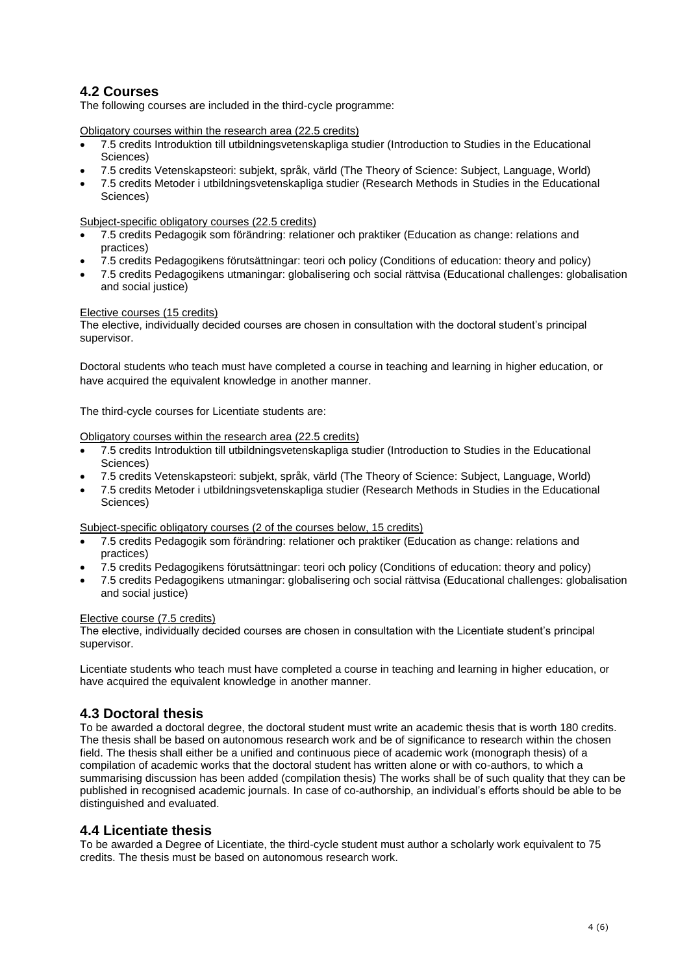### **4.2 Courses**

The following courses are included in the third-cycle programme:

Obligatory courses within the research area (22.5 credits)

- 7.5 credits Introduktion till utbildningsvetenskapliga studier (Introduction to Studies in the Educational Sciences)
- 7.5 credits Vetenskapsteori: subjekt, språk, värld (The Theory of Science: Subject, Language, World)
- 7.5 credits Metoder i utbildningsvetenskapliga studier (Research Methods in Studies in the Educational Sciences)

Subject-specific obligatory courses (22.5 credits)

- 7.5 credits Pedagogik som förändring: relationer och praktiker (Education as change: relations and practices)
- 7.5 credits Pedagogikens förutsättningar: teori och policy (Conditions of education: theory and policy)
- 7.5 credits Pedagogikens utmaningar: globalisering och social rättvisa (Educational challenges: globalisation and social justice)

#### Elective courses (15 credits)

The elective, individually decided courses are chosen in consultation with the doctoral student's principal supervisor.

Doctoral students who teach must have completed a course in teaching and learning in higher education, or have acquired the equivalent knowledge in another manner.

The third-cycle courses for Licentiate students are:

#### Obligatory courses within the research area (22.5 credits)

- 7.5 credits Introduktion till utbildningsvetenskapliga studier (Introduction to Studies in the Educational Sciences)
- 7.5 credits Vetenskapsteori: subjekt, språk, värld (The Theory of Science: Subject, Language, World)
- 7.5 credits Metoder i utbildningsvetenskapliga studier (Research Methods in Studies in the Educational Sciences)

Subject-specific obligatory courses (2 of the courses below, 15 credits)

- 7.5 credits Pedagogik som förändring: relationer och praktiker (Education as change: relations and practices)
- 7.5 credits Pedagogikens förutsättningar: teori och policy (Conditions of education: theory and policy)
- 7.5 credits Pedagogikens utmaningar: globalisering och social rättvisa (Educational challenges: globalisation and social justice)

#### Elective course (7.5 credits)

The elective, individually decided courses are chosen in consultation with the Licentiate student's principal supervisor.

Licentiate students who teach must have completed a course in teaching and learning in higher education, or have acquired the equivalent knowledge in another manner.

#### **4.3 Doctoral thesis**

To be awarded a doctoral degree, the doctoral student must write an academic thesis that is worth 180 credits. The thesis shall be based on autonomous research work and be of significance to research within the chosen field. The thesis shall either be a unified and continuous piece of academic work (monograph thesis) of a compilation of academic works that the doctoral student has written alone or with co-authors, to which a summarising discussion has been added (compilation thesis) The works shall be of such quality that they can be published in recognised academic journals. In case of co-authorship, an individual's efforts should be able to be distinguished and evaluated.

#### **4.4 Licentiate thesis**

To be awarded a Degree of Licentiate, the third-cycle student must author a scholarly work equivalent to 75 credits. The thesis must be based on autonomous research work.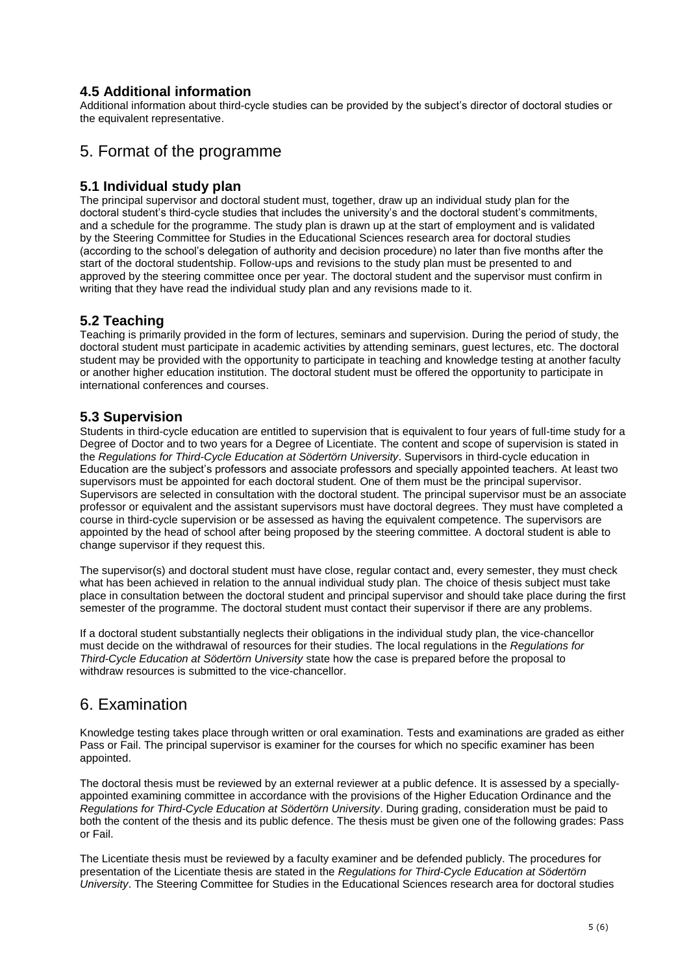### **4.5 Additional information**

Additional information about third-cycle studies can be provided by the subject's director of doctoral studies or the equivalent representative.

## 5. Format of the programme

### **5.1 Individual study plan**

The principal supervisor and doctoral student must, together, draw up an individual study plan for the doctoral student's third-cycle studies that includes the university's and the doctoral student's commitments, and a schedule for the programme. The study plan is drawn up at the start of employment and is validated by the Steering Committee for Studies in the Educational Sciences research area for doctoral studies (according to the school's delegation of authority and decision procedure) no later than five months after the start of the doctoral studentship. Follow-ups and revisions to the study plan must be presented to and approved by the steering committee once per year. The doctoral student and the supervisor must confirm in writing that they have read the individual study plan and any revisions made to it.

### **5.2 Teaching**

Teaching is primarily provided in the form of lectures, seminars and supervision. During the period of study, the doctoral student must participate in academic activities by attending seminars, guest lectures, etc. The doctoral student may be provided with the opportunity to participate in teaching and knowledge testing at another faculty or another higher education institution. The doctoral student must be offered the opportunity to participate in international conferences and courses.

### **5.3 Supervision**

Students in third-cycle education are entitled to supervision that is equivalent to four years of full-time study for a Degree of Doctor and to two years for a Degree of Licentiate. The content and scope of supervision is stated in the *Regulations for Third-Cycle Education at Södertörn University*. Supervisors in third-cycle education in Education are the subject's professors and associate professors and specially appointed teachers. At least two supervisors must be appointed for each doctoral student. One of them must be the principal supervisor. Supervisors are selected in consultation with the doctoral student. The principal supervisor must be an associate professor or equivalent and the assistant supervisors must have doctoral degrees. They must have completed a course in third-cycle supervision or be assessed as having the equivalent competence. The supervisors are appointed by the head of school after being proposed by the steering committee. A doctoral student is able to change supervisor if they request this.

The supervisor(s) and doctoral student must have close, regular contact and, every semester, they must check what has been achieved in relation to the annual individual study plan. The choice of thesis subject must take place in consultation between the doctoral student and principal supervisor and should take place during the first semester of the programme. The doctoral student must contact their supervisor if there are any problems.

If a doctoral student substantially neglects their obligations in the individual study plan, the vice-chancellor must decide on the withdrawal of resources for their studies. The local regulations in the *Regulations for Third-Cycle Education at Södertörn University* state how the case is prepared before the proposal to withdraw resources is submitted to the vice-chancellor.

### 6. Examination

Knowledge testing takes place through written or oral examination. Tests and examinations are graded as either Pass or Fail. The principal supervisor is examiner for the courses for which no specific examiner has been appointed.

The doctoral thesis must be reviewed by an external reviewer at a public defence. It is assessed by a speciallyappointed examining committee in accordance with the provisions of the Higher Education Ordinance and the *Regulations for Third-Cycle Education at Södertörn University*. During grading, consideration must be paid to both the content of the thesis and its public defence. The thesis must be given one of the following grades: Pass or Fail.

The Licentiate thesis must be reviewed by a faculty examiner and be defended publicly. The procedures for presentation of the Licentiate thesis are stated in the *Regulations for Third-Cycle Education at Södertörn University*. The Steering Committee for Studies in the Educational Sciences research area for doctoral studies